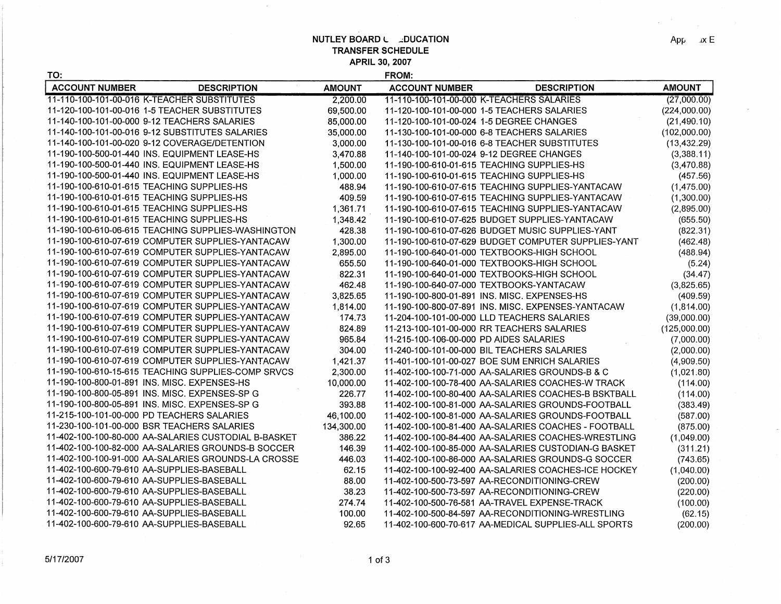**NUTLEY BOARD L ...** DUCATION **TRANSFER SCHEDULE APRIL 30, 2007** 

 $\sim 10^7$ 

**FROM:** 

| TO:                                          |                                                      |               | FROM:                                         |                                                      |               |
|----------------------------------------------|------------------------------------------------------|---------------|-----------------------------------------------|------------------------------------------------------|---------------|
| <b>ACCOUNT NUMBER</b>                        | <b>DESCRIPTION</b>                                   | <b>AMOUNT</b> | <b>ACCOUNT NUMBER</b>                         | <b>DESCRIPTION</b>                                   | <b>AMOUNT</b> |
|                                              | 11-110-100-101-00-016 K-TEACHER SUBSTITUTES          | 2.200.00      | 11-110-100-101-00-000 K-TEACHERS SALARIES     |                                                      | (27,000.00)   |
|                                              | 11-120-100-101-00-016 1-5 TEACHER SUBSTITUTES        | 69,500.00     | 11-120-100-101-00-000 1-5 TEACHERS SALARIES   |                                                      | (224,000.00)  |
|                                              | 11-140-100-101-00-000    9-12 TEACHERS SALARIES      | 85,000.00     | 11-120-100-101-00-024 1-5 DEGREE CHANGES      |                                                      | (21, 490.10)  |
|                                              | 11-140-100-101-00-016 9-12 SUBSTITUTES SALARIES      | 35,000.00     | 11-130-100-101-00-000 6-8 TEACHERS SALARIES   |                                                      | (102,000.00)  |
|                                              | 11-140-100-101-00-020 9-12 COVERAGE/DETENTION        | 3,000.00      | 11-130-100-101-00-016 6-8 TEACHER SUBSTITUTES |                                                      | (13, 432.29)  |
|                                              | 11-190-100-500-01-440 INS. EQUIPMENT LEASE-HS        | 3,470.88      | 11-140-100-101-00-024 9-12 DEGREE CHANGES     |                                                      | (3,388.11)    |
|                                              | 11-190-100-500-01-440 INS. EQUIPMENT LEASE-HS        | 1,500.00      | 11-190-100-610-01-615 TEACHING SUPPLIES-HS    |                                                      | (3,470.88)    |
|                                              | 11-190-100-500-01-440 INS. EQUIPMENT LEASE-HS        | 1.000.00      | 11-190-100-610-01-615 TEACHING SUPPLIES-HS    |                                                      | (457.56)      |
| 11-190-100-610-01-615 TEACHING SUPPLIES-HS   |                                                      | 488.94        |                                               | 11-190-100-610-07-615 TEACHING SUPPLIES-YANTACAW     | (1,475.00)    |
| 11-190-100-610-01-615 TEACHING SUPPLIES-HS   |                                                      | 409.59        |                                               | 11-190-100-610-07-615 TEACHING SUPPLIES-YANTACAW     | (1,300.00)    |
| 11-190-100-610-01-615 TEACHING SUPPLIES-HS   |                                                      | 1,361.71      |                                               | 11-190-100-610-07-615 TEACHING SUPPLIES-YANTACAW     | (2,895.00)    |
| 11-190-100-610-01-615 TEACHING SUPPLIES-HS   |                                                      | 1,348.42      |                                               | 11-190-100-610-07-625 BUDGET SUPPLIES-YANTACAW       | (655.50)      |
|                                              | 11-190-100-610-06-615 TEACHING SUPPLIES-WASHINGTON   | 428.38        |                                               | 11-190-100-610-07-626 BUDGET MUSIC SUPPLIES-YANT     | (822.31)      |
|                                              | 11-190-100-610-07-619 COMPUTER SUPPLIES-YANTACAW     | 1,300.00      |                                               | 11-190-100-610-07-629 BUDGET COMPUTER SUPPLIES-YANT  | (462.48)      |
|                                              | 11-190-100-610-07-619 COMPUTER SUPPLIES-YANTACAW     | 2,895.00      | 11-190-100-640-01-000 TEXTBOOKS-HIGH SCHOOL   |                                                      | (488.94)      |
|                                              | 11-190-100-610-07-619 COMPUTER SUPPLIES-YANTACAW     | 655.50        | 11-190-100-640-01-000 TEXTBOOKS-HIGH SCHOOL   |                                                      | (5.24)        |
|                                              | 11-190-100-610-07-619 COMPUTER SUPPLIES-YANTACAW     | 822.31        | 11-190-100-640-01-000 TEXTBOOKS-HIGH SCHOOL   |                                                      | (34.47)       |
|                                              | 11-190-100-610-07-619 COMPUTER SUPPLIES-YANTACAW     | 462.48        | 11-190-100-640-07-000 TEXTBOOKS-YANTACAW      |                                                      | (3,825.65)    |
|                                              | 11-190-100-610-07-619 COMPUTER SUPPLIES-YANTACAW     | 3,825.65      | 11-190-100-800-01-891 INS. MISC. EXPENSES-HS  |                                                      | (409.59)      |
|                                              | 11-190-100-610-07-619 COMPUTER SUPPLIES-YANTACAW     | 1,814.00      |                                               | 11-190-100-800-07-891 INS. MISC. EXPENSES-YANTACAW   | (1, 814.00)   |
|                                              | 11-190-100-610-07-619 COMPUTER SUPPLIES-YANTACAW     | 174.73        | 11-204-100-101-00-000 LLD TEACHERS SALARIES   |                                                      | (39,000.00)   |
|                                              | 11-190-100-610-07-619 COMPUTER SUPPLIES-YANTACAW     | 824.89        | 11-213-100-101-00-000 RR TEACHERS SALARIES    |                                                      | (125,000.00)  |
|                                              | 11-190-100-610-07-619 COMPUTER SUPPLIES-YANTACAW     | 965.84        | 11-215-100-106-00-000 PD AIDES SALARIES       |                                                      | (7,000.00)    |
|                                              | 11-190-100-610-07-619 COMPUTER SUPPLIES-YANTACAW     | 304.00        | 11-240-100-101-00-000 BIL TEACHERS SALARIES   |                                                      | (2,000.00)    |
|                                              | 11-190-100-610-07-619 COMPUTER SUPPLIES-YANTACAW     | 1,421.37      | 11-401-100-101-00-027 BOE SUM ENRICH SALARIES |                                                      | (4,909.50)    |
|                                              | 11-190-100-610-15-615 TEACHING SUPPLIES-COMP SRVCS   | 2,300.00      |                                               | 11-402-100-100-71-000 AA-SALARIES GROUNDS-B & C      | (1,021.80)    |
| 11-190-100-800-01-891 INS. MISC. EXPENSES-HS |                                                      | 10,000.00     |                                               | 11-402-100-100-78-400 AA-SALARIES COACHES-W TRACK    | (114.00)      |
|                                              | 11-190-100-800-05-891 INS. MISC. EXPENSES-SP G       | 226.77        |                                               | 11-402-100-100-80-400 AA-SALARIES COACHES-B BSKTBALL | (114.00)      |
|                                              | 11-190-100-800-05-891 INS. MISC. EXPENSES-SP G       | 393.88        |                                               | 11-402-100-100-81-000 AA-SALARIES GROUNDS-FOOTBALL   | (383.49)      |
| 11-215-100-101-00-000 PD TEACHERS SALARIES   |                                                      | 46,100.00     |                                               | 11-402-100-100-81-000 AA-SALARIES GROUNDS-FOOTBALL   | (587.00)      |
|                                              | 11-230-100-101-00-000 BSR TEACHERS SALARIES          | 134,300.00    |                                               | 11-402-100-100-81-400 AA-SALARIES COACHES - FOOTBALL | (875.00)      |
|                                              | 11-402-100-100-80-000 AA-SALARIES CUSTODIAL B-BASKET | 386.22        |                                               | 11-402-100-100-84-400 AA-SALARIES COACHES-WRESTLING  | (1,049.00)    |
|                                              | 11-402-100-100-82-000 AA-SALARIES GROUNDS-B SOCCER   | 146.39        |                                               | 11-402-100-100-85-000 AA-SALARIES CUSTODIAN-G BASKET | (311.21)      |
|                                              |                                                      | 446.03        |                                               | 11-402-100-100-86-000 AA-SALARIES GROUNDS-G SOCCER   | (743.65)      |
| 11-402-100-600-79-610 AA-SUPPLIES-BASEBALL   |                                                      | 62.15         |                                               | 11-402-100-100-92-400 AA-SALARIES COACHES-ICE HOCKEY | (1,040.00)    |
| 11-402-100-600-79-610 AA-SUPPLIES-BASEBALL   |                                                      | 88.00         | 11-402-100-500-73-597 AA-RECONDITIONING-CREW  |                                                      | (200.00)      |
| 11-402-100-600-79-610 AA-SUPPLIES-BASEBALL   |                                                      | 38.23         | 11-402-100-500-73-597 AA-RECONDITIONING-CREW  |                                                      | (220.00)      |
| 11-402-100-600-79-610 AA-SUPPLIES-BASEBALL   |                                                      | 274.74        |                                               | 11-402-100-500-76-581 AA-TRAVEL EXPENSE-TRACK        | (100.00)      |
| 11-402-100-600-79-610 AA-SUPPLIES-BASEBALL   |                                                      | 100.00        |                                               | 11-402-100-500-84-597 AA-RECONDITIONING-WRESTLING    | (62.15)       |
| 11-402-100-600-79-610 AA-SUPPLIES-BASEBALL   |                                                      | 92.65         |                                               | 11-402-100-600-70-617 AA-MEDICAL SUPPLIES-ALL SPORTS | (200.00)      |

 $App$  ,  $iX$  E

 $\mathcal{L}$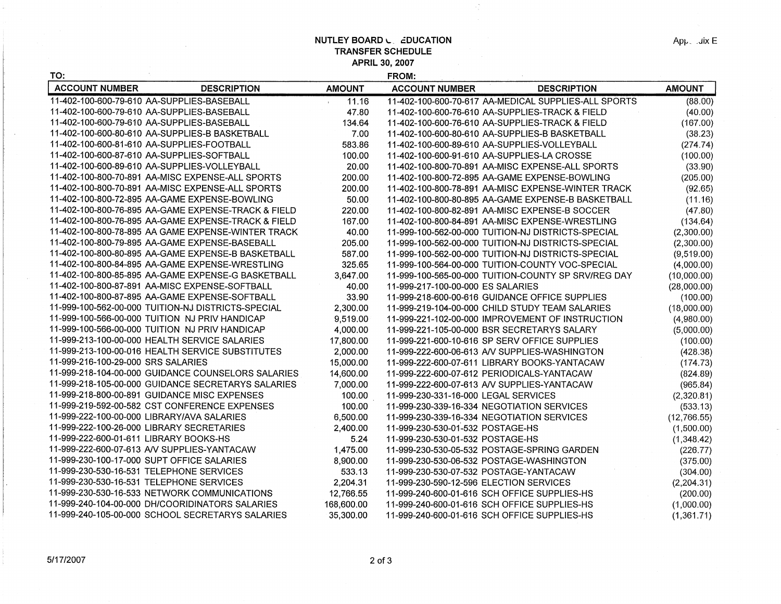**NUTLEY BOARD L. EDUCATION TRANSFER SCHEDULE APRIL 30, 2007** 

**FROM:** 

гŚ.

| TO:                                                 |               | FROM:                                                |               |
|-----------------------------------------------------|---------------|------------------------------------------------------|---------------|
| <b>ACCOUNT NUMBER</b><br><b>DESCRIPTION</b>         | <b>AMOUNT</b> | <b>ACCOUNT NUMBER</b><br><b>DESCRIPTION</b>          | <b>AMOUNT</b> |
| 11-402-100-600-79-610 AA-SUPPLIES-BASEBALL          | 11.16         | 11-402-100-600-70-617 AA-MEDICAL SUPPLIES-ALL SPORTS | (88.00)       |
| 11-402-100-600-79-610 AA-SUPPLIES-BASEBALL          | 47.80         | 11-402-100-600-76-610 AA-SUPPLIES-TRACK & FIELD      | (40.00)       |
| 11-402-100-600-79-610 AA-SUPPLIES-BASEBALL          | 134.64        | 11-402-100-600-76-610 AA-SUPPLIES-TRACK & FIELD      | (167.00)      |
| 11-402-100-600-80-610 AA-SUPPLIES-B BASKETBALL      | 7.00          | 11-402-100-600-80-610 AA-SUPPLIES-B BASKETBALL       | (38.23)       |
| 11-402-100-600-81-610 AA-SUPPLIES-FOOTBALL          | 583.86        | 11-402-100-600-89-610 AA-SUPPLIES-VOLLEYBALL         | (274.74)      |
| 11-402-100-600-87-610 AA-SUPPLIES-SOFTBALL          | 100.00        | 11-402-100-600-91-610 AA-SUPPLIES-LA CROSSE          | (100.00)      |
| 11-402-100-600-89-610 AA-SUPPLIES-VOLLEYBALL        | 20.00         | 11-402-100-800-70-891 AA-MISC EXPENSE-ALL SPORTS     | (33.90)       |
| 11-402-100-800-70-891 AA-MISC EXPENSE-ALL SPORTS    | 200.00        | 11-402-100-800-72-895 AA-GAME EXPENSE-BOWLING        | (205.00)      |
| 11-402-100-800-70-891 AA-MISC EXPENSE-ALL SPORTS    | 200.00        |                                                      | (92.65)       |
| 11-402-100-800-72-895 AA-GAME EXPENSE-BOWLING       | 50.00         | 11-402-100-800-80-895 AA-GAME EXPENSE-B BASKETBALL   | (11.16)       |
| 11-402-100-800-76-895 AA-GAME EXPENSE-TRACK & FIELD | 220.00        | 11-402-100-800-82-891 AA-MISC EXPENSE-B SOCCER       | (47.80)       |
| 11-402-100-800-76-895 AA-GAME EXPENSE-TRACK & FIELD | 167.00        | 11-402-100-800-84-891 AA-MISC EXPENSE-WRESTLING      | (134.64)      |
| 11-402-100-800-78-895 AA GAME EXPENSE-WINTER TRACK  | 40.00         | 11-999-100-562-00-000 TUITION-NJ DISTRICTS-SPECIAL   | (2,300.00)    |
| 11-402-100-800-79-895 AA-GAME EXPENSE-BASEBALL      | 205.00        | 11-999-100-562-00-000 TUITION-NJ DISTRICTS-SPECIAL   | (2,300.00)    |
| 11-402-100-800-80-895 AA-GAME EXPENSE-B BASKETBALL  | 587.00        | 11-999-100-562-00-000 TUITION-NJ DISTRICTS-SPECIAL   | (9,519.00)    |
| 11-402-100-800-84-895 AA-GAME EXPENSE-WRESTLING     | 325.65        | 11-999-100-564-00-000 TUITION-COUNTY VOC-SPECIAL     | (4,000.00)    |
| 11-402-100-800-85-895 AA-GAME EXPENSE-G BASKETBALL  | 3,647.00      | 11-999-100-565-00-000 TUITION-COUNTY SP SRV/REG DAY  | (10,000.00)   |
| 11-402-100-800-87-891 AA-MISC EXPENSE-SOFTBALL      | 40.00         | 11-999-217-100-00-000 ES SALARIES                    | (28,000.00)   |
| 11-402-100-800-87-895 AA-GAME EXPENSE-SOFTBALL      | 33.90         | 11-999-218-600-00-616 GUIDANCE OFFICE SUPPLIES       | (100.00)      |
| 11-999-100-562-00-000 TUITION-NJ DISTRICTS-SPECIAL  | 2,300.00      | 11-999-219-104-00-000 CHILD STUDY TEAM SALARIES      | (18,000.00)   |
| 11-999-100-566-00-000 TUITION NJ PRIV HANDICAP      | 9,519.00      | 11-999-221-102-00-000 IMPROVEMENT OF INSTRUCTION     | (4,980.00)    |
| 11-999-100-566-00-000 TUITION NJ PRIV HANDICAP      | 4,000.00      | 11-999-221-105-00-000 BSR SECRETARYS SALARY          | (5,000.00)    |
| 11-999-213-100-00-000 HEALTH SERVICE SALARIES       | 17,800.00     | 11-999-221-600-10-616 SP SERV OFFICE SUPPLIES        | (100.00)      |
| 11-999-213-100-00-016 HEALTH SERVICE SUBSTITUTES    | 2,000.00      | 11-999-222-600-06-613 A/V SUPPLIES-WASHINGTON        | (428.38)      |
| 11-999-216-100-29-000 SRS SALARIES                  | 15,000.00     | 11-999-222-600-07-611 LIBRARY BOOKS-YANTACAW         | (174.73)      |
| 11-999-218-104-00-000 GUIDANCE COUNSELORS SALARIES  | 14,600.00     | 11-999-222-600-07-612 PERIODICALS-YANTACAW           | (824.89)      |
| 11-999-218-105-00-000 GUIDANCE SECRETARYS SALARIES  | 7,000.00      | 11-999-222-600-07-613 A/V SUPPLIES-YANTACAW          | (965.84)      |
| 11-999-218-800-00-891 GUIDANCE MISC EXPENSES        | 100.00        | 11-999-230-331-16-000 LEGAL SERVICES                 | (2,320.81)    |
| 11-999-219-592-00-582 CST CONFERENCE EXPENSES       | 100.00        | 11-999-230-339-16-334 NEGOTIATION SERVICES           | (533.13)      |
| 11-999-222-100-00-000 LIBRARY/AVA SALARIES          | 6,500.00      | 11-999-230-339-16-334 NEGOTIATION SERVICES           | (12,766.55)   |
| 11-999-222-100-26-000 LIBRARY SECRETARIES           | 2,400.00      | 11-999-230-530-01-532 POSTAGE-HS                     | (1,500.00)    |
| 11-999-222-600-01-611 LIBRARY BOOKS-HS              | 5.24          | 11-999-230-530-01-532 POSTAGE-HS                     | (1,348.42)    |
| 11-999-222-600-07-613 AV SUPPLIES-YANTACAW          | 1,475.00      | 11-999-230-530-05-532 POSTAGE-SPRING GARDEN          | (226.77)      |
| 11-999-230-100-17-000 SUPT OFFICE SALARIES          | 8,900.00      | 11-999-230-530-06-532 POSTAGE-WASHINGTON             | (375.00)      |
| 11-999-230-530-16-531 TELEPHONE SERVICES            | 533.13        | 11-999-230-530-07-532 POSTAGE-YANTACAW               | (304.00)      |
| 11-999-230-530-16-531 TELEPHONE SERVICES            | 2,204.31      | 11-999-230-590-12-596 ELECTION SERVICES              | (2,204.31)    |
| 11-999-230-530-16-533 NETWORK COMMUNICATIONS        | 12,766.55     | 11-999-240-600-01-616 SCH OFFICE SUPPLIES-HS         | (200.00)      |
| 11-999-240-104-00-000 DH/COORIDINATORS SALARIES     | 168,600.00    | 11-999-240-600-01-616 SCH OFFICE SUPPLIES-HS         | (1,000.00)    |
| 11-999-240-105-00-000 SCHOOL SECRETARYS SALARIES    | 35,300.00     | 11-999-240-600-01-616 SCH OFFICE SUPPLIES-HS         | (1,361.71)    |

 $\sim$ 

 $App.$  . Jix  $E$